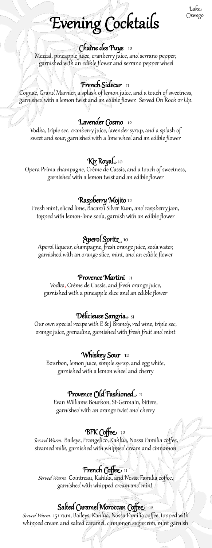#### Lake Oswego

# Evening Cocktails

#### Chaîne des Puys 12

Mezcal, pineapple juice, cranberry juice, and serrano pepper, garnished with an edible flower and serrano pepper wheel

#### French Sidecar 11

Cognac, Grand Marnier, a splash of lemon juice, and a touch of sweetness, garnished with a lemon twist and an edible flower. Served On Rock or Up.

#### Lavender Cosmo 12

Vodka, triple sec, cranberry juice, lavender syrup, and a splash of sweet and sour, garnished with a lime wheel and an edible flower

#### Kir RoyaL 10

Opera Prima champagne, Crème de Cassis, and a touch of sweetness, garnished with a lemon twist and an edible flower

#### Raspberry Mojito 12

Fresh mint, sliced lime, Bacardi Silver Rum, and raspberry jam, topped with lemon-lime soda, garnish with an edible flower

### Aperol Spritz 10

Aperol liqueur, champagne, fresh orange juice, soda water, garnished with an orange slice, mint, and an edible flower

#### Provence Martini 11

Vodka, Crème de Cassis, and fresh orange juice, garnished with a pineapple slice and an edible flower

#### Délicieuse Sangria 9

Our own special recipe with E & J Brandy, red wine, triple sec, orange juice, grenadine, garnished with fresh fruit and mint

#### Whiskey Sour 12

Bourbon, lemon juice, simple syrup, and egg white, garnished with a lemon wheel and cherry

#### Provence ( $\bigcirc$ ld Fashioned 11

Evan Williams Bourbon, St-Germain, bitters, garnished with an orange twist and cherry

#### BFK Coffee 12

Served Warm. Baileys, Frangelico, Kahlúa, Nossa Familia coffee, steamed milk, garnished with whipped cream and cinnamon

#### **French Coffee** 11

Served Warm. Cointreau, Kahlúa, and Nossa Familia coffee, garnished with whipped cream and mint.

#### Salted Caramel Moroccan Coffee 12

Served Warm. 151 rum, Baileys, Kahlúa, Nossa Familia coffee, topped with whipped cream and salted caramel, cinnamon sugar rim, mint garnish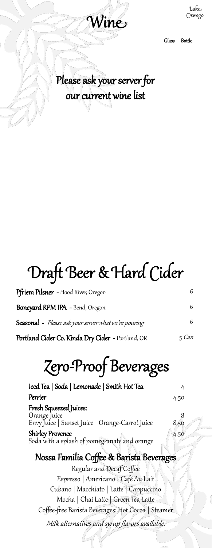

Lake Oswego

Glass Bottle

### Please ask your server for our current wine list

# Draft Beer & Hard Cider

| Pfriem Pilsner - Hood River, Oregon<br>Boneyard RPM IPA - Bend, Oregon | 6<br>6 |
|------------------------------------------------------------------------|--------|
|                                                                        |        |
| Portland Cider Co. Kinda Dry Cider - Portland, OR                      | 5 Can  |

# Zero-Proof Beverages

| Iced Tea   Soda   Lemonade   Smith Hot Tea                                                |      |
|-------------------------------------------------------------------------------------------|------|
| Perrier                                                                                   | 4.50 |
| Fresh Squeezed Juices:<br>Orange Juice<br>Envy Juice   Sunset Juice   Orange-Carrot Juice | 8.50 |
| <b>Shirley Provence</b><br>Soda with a splash of pomegranate and orange                   | 4.50 |

### Nossa Familia Coffee & Barista Beverages

Regular and Decaf Coffee Espresso | Americano | Café Au Lait Cubano | Macchiato | Latte | Cappuccino Mocha | Chai Latte | Green Tea Latte Coffee-free Barista Beverages: Hot Cocoa | Steamer Milk alternatives and syrup flavors available.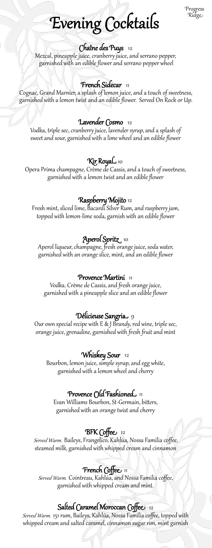Progress Ridge

## Evening Cocktails

#### Chaîne des Puys 12

Mezcal, pineapple juice, cranberry juice, and serrano pepper, garnished with an edible flower and serrano pepper wheel

#### French Sidecar 11

Cognac, Grand Marnier, a splash of lemon juice, and a touch of sweetness, garnished with a lemon twist and an edible flower. Served On Rock or Up.

#### Lavender Cosmo 12

Vodka, triple sec, cranberry juice, lavender syrup, and a splash of sweet and sour, garnished with a lime wheel and an edible flower

#### Kir RoyaL 10

Opera Prima champagne, Crème de Cassis, and a touch of sweetness, garnished with a lemon twist and an edible flower

#### Raspberry Mojito 12

Fresh mint, sliced lime, Bacardi Silver Rum, and raspberry jam, topped with lemon-lime soda, garnish with an edible flower

### Aperol Spritz 10

Aperol liqueur, champagne, fresh orange juice, soda water, garnished with an orange slice, mint, and an edible flower

#### Provence Martini 11

Vodka, Crème de Cassis, and fresh orange juice, garnished with a pineapple slice and an edible flower

#### Délicieuse Sangria 9

Our own special recipe with E & J Brandy, red wine, triple sec, orange juice, grenadine, garnished with fresh fruit and mint

#### Whiskey Sour 12

Bourbon, lemon juice, simple syrup, and egg white, garnished with a lemon wheel and cherry

#### Provence ( $\bigcirc$ ld Fashioned 11

Evan Williams Bourbon, St-Germain, bitters, garnished with an orange twist and cherry

#### BFK Coffee 12

Served Warm. Baileys, Frangelico, Kahlúa, Nossa Familia coffee, steamed milk, garnished with whipped cream and cinnamon

#### **French Coffee** 11

Served Warm. Cointreau, Kahlúa, and Nossa Familia coffee, garnished with whipped cream and mint.

#### Salted Caramel Moroccan Coffee 12

Served Warm. 151 rum, Baileys, Kahlúa, Nossa Familia coffee, topped with whipped cream and salted caramel, cinnamon sugar rim, mint garnish